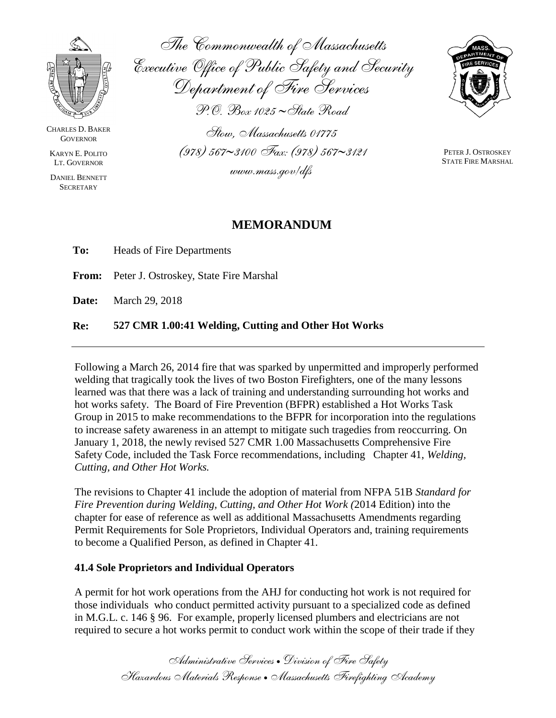

CHARLES D. BAKER **GOVERNOR** 

KARYN E. POLITO LT. GOVERNOR

DANIEL BENNETT **SECRETARY** 

*The Commonwealth of Massachusetts Executive Office of Public Safety and Security Department of Fire Services P.O. Box 1025 State Road*

*Stow, Massachusetts 01775 (978) 5673100 Fax: (978) 5673121 www.mass.gov/dfs*



PETER J. OSTROSKEY STATE FIRE MARSHAL

## **MEMORANDUM**

| Re: | 527 CMR 1.00:41 Welding, Cutting and Other Hot Works |  |
|-----|------------------------------------------------------|--|
|     | <b>Date:</b> March 29, 2018                          |  |
|     | <b>From:</b> Peter J. Ostroskey, State Fire Marshal  |  |
| To: | <b>Heads of Fire Departments</b>                     |  |

Following a March 26, 2014 fire that was sparked by unpermitted and improperly performed welding that tragically took the lives of two Boston Firefighters, one of the many lessons learned was that there was a lack of training and understanding surrounding hot works and hot works safety. The Board of Fire Prevention (BFPR) established a Hot Works Task Group in 2015 to make recommendations to the BFPR for incorporation into the regulations to increase safety awareness in an attempt to mitigate such tragedies from reoccurring. On January 1, 2018, the newly revised 527 CMR 1.00 Massachusetts Comprehensive Fire Safety Code, included the Task Force recommendations, including Chapter 41, *Welding, Cutting, and Other Hot Works.* 

The revisions to Chapter 41 include the adoption of material from NFPA 51B *Standard for Fire Prevention during Welding, Cutting, and Other Hot Work (*2014 Edition) into the chapter for ease of reference as well as additional Massachusetts Amendments regarding Permit Requirements for Sole Proprietors, Individual Operators and, training requirements to become a Qualified Person, as defined in Chapter 41.

## **41.4 Sole Proprietors and Individual Operators**

A permit for hot work operations from the AHJ for conducting hot work is not required for those individuals who conduct permitted activity pursuant to a specialized code as defined in M.G.L. c. 146 § 96. For example, properly licensed plumbers and electricians are not required to secure a hot works permit to conduct work within the scope of their trade if they

> *Administrative Services Division of Fire Safety Hazardous Materials Response Massachusetts Firefighting Academy*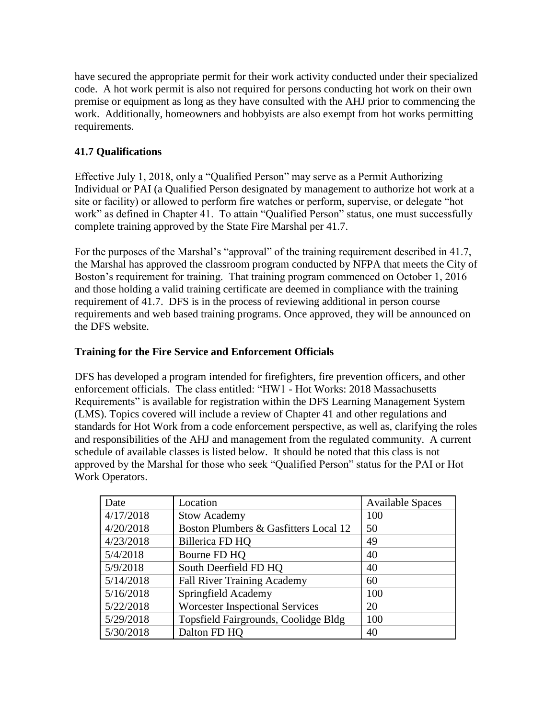have secured the appropriate permit for their work activity conducted under their specialized code. A hot work permit is also not required for persons conducting hot work on their own premise or equipment as long as they have consulted with the AHJ prior to commencing the work. Additionally, homeowners and hobbyists are also exempt from hot works permitting requirements.

## **41.7 Qualifications**

Effective July 1, 2018, only a "Qualified Person" may serve as a Permit Authorizing Individual or PAI (a Qualified Person designated by management to authorize hot work at a site or facility) or allowed to perform fire watches or perform, supervise, or delegate "hot work" as defined in Chapter 41. To attain "Qualified Person" status, one must successfully complete training approved by the State Fire Marshal per 41.7.

For the purposes of the Marshal's "approval" of the training requirement described in 41.7, the Marshal has approved the classroom program conducted by NFPA that meets the City of Boston's requirement for training. That training program commenced on October 1, 2016 and those holding a valid training certificate are deemed in compliance with the training requirement of 41.7. DFS is in the process of reviewing additional in person course requirements and web based training programs. Once approved, they will be announced on the DFS website.

## **Training for the Fire Service and Enforcement Officials**

DFS has developed a program intended for firefighters, fire prevention officers, and other enforcement officials. The class entitled: "HW1 - Hot Works: 2018 Massachusetts Requirements" is available for registration within the DFS Learning Management System (LMS). Topics covered will include a review of Chapter 41 and other regulations and standards for Hot Work from a code enforcement perspective, as well as, clarifying the roles and responsibilities of the AHJ and management from the regulated community. A current schedule of available classes is listed below. It should be noted that this class is not approved by the Marshal for those who seek "Qualified Person" status for the PAI or Hot Work Operators.

| Date      | Location                               | <b>Available Spaces</b> |
|-----------|----------------------------------------|-------------------------|
| 4/17/2018 | <b>Stow Academy</b>                    | 100                     |
| 4/20/2018 | Boston Plumbers & Gasfitters Local 12  | 50                      |
| 4/23/2018 | Billerica FD HQ                        | 49                      |
| 5/4/2018  | Bourne FD HQ                           | 40                      |
| 5/9/2018  | South Deerfield FD HQ                  | 40                      |
| 5/14/2018 | <b>Fall River Training Academy</b>     | 60                      |
| 5/16/2018 | Springfield Academy                    | 100                     |
| 5/22/2018 | <b>Worcester Inspectional Services</b> | 20                      |
| 5/29/2018 | Topsfield Fairgrounds, Coolidge Bldg   | 100                     |
| 5/30/2018 | Dalton FD HQ                           | 40                      |